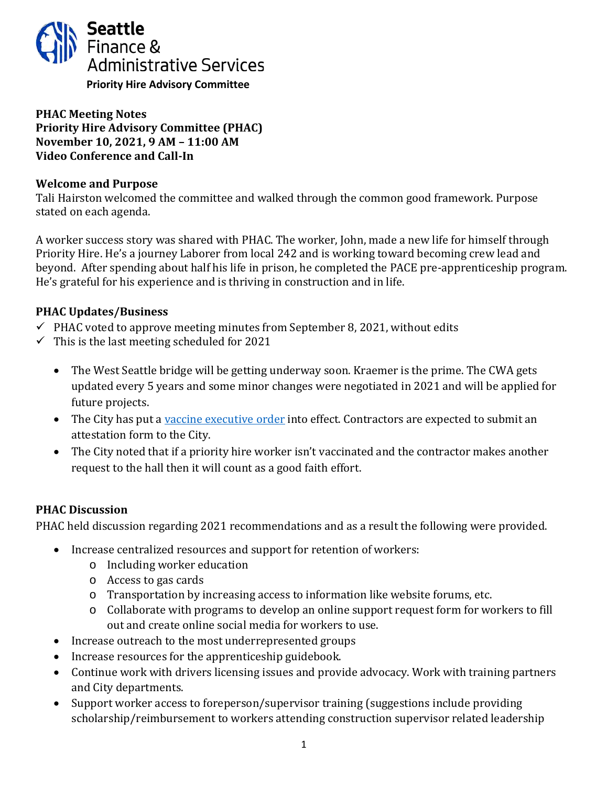

## **PHAC Meeting Notes Priority Hire Advisory Committee (PHAC) November 10, 2021, 9 AM – 11:00 AM Video Conference and Call-In**

### **Welcome and Purpose**

Tali Hairston welcomed the committee and walked through the common good framework. Purpose stated on each agenda.

A worker success story was shared with PHAC. The worker, John, made a new life for himself through Priority Hire. He's a journey Laborer from local 242 and is working toward becoming crew lead and beyond. After spending about half his life in prison, he completed the PACE pre-apprenticeship program. He's grateful for his experience and is thriving in construction and in life.

# **PHAC Updates/Business**

- $\checkmark$  PHAC voted to approve meeting minutes from September 8, 2021, without edits
- $\checkmark$  This is the last meeting scheduled for 2021
	- The West Seattle bridge will be getting underway soon. Kraemer is the prime. The CWA gets updated every 5 years and some minor changes were negotiated in 2021 and will be applied for future projects.
	- The City has put a [vaccine executive order](http://www.seattle.gov/purchasing-and-contracting/doing-business-with-the-city/covid-19-vaccination-requirements) into effect. Contractors are expected to submit an attestation form to the City.
	- The City noted that if a priority hire worker isn't vaccinated and the contractor makes another request to the hall then it will count as a good faith effort.

### **PHAC Discussion**

PHAC held discussion regarding 2021 recommendations and as a result the following were provided.

- Increase centralized resources and support for retention of workers:
	- o Including worker education
	- o Access to gas cards
	- o Transportation by increasing access to information like website forums, etc.
	- o Collaborate with programs to develop an online support request form for workers to fill out and create online social media for workers to use.
- Increase outreach to the most underrepresented groups
- Increase resources for the apprenticeship guidebook.
- Continue work with drivers licensing issues and provide advocacy. Work with training partners and City departments.
- Support worker access to foreperson/supervisor training (suggestions include providing scholarship/reimbursement to workers attending construction supervisor related leadership